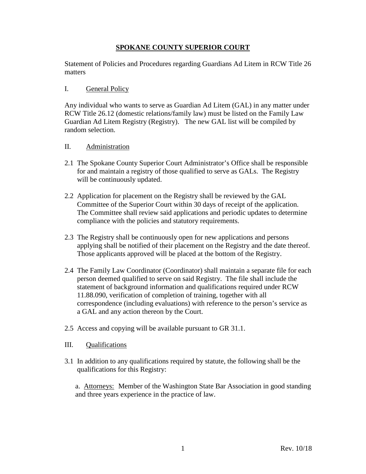## **SPOKANE COUNTY SUPERIOR COURT**

Statement of Policies and Procedures regarding Guardians Ad Litem in RCW Title 26 matters

## I. General Policy

Any individual who wants to serve as Guardian Ad Litem (GAL) in any matter under RCW Title 26.12 (domestic relations/family law) must be listed on the Family Law Guardian Ad Litem Registry (Registry). The new GAL list will be compiled by random selection.

## II. Administration

- 2.1 The Spokane County Superior Court Administrator's Office shall be responsible for and maintain a registry of those qualified to serve as GALs. The Registry will be continuously updated.
- 2.2 Application for placement on the Registry shall be reviewed by the GAL Committee of the Superior Court within 30 days of receipt of the application. The Committee shall review said applications and periodic updates to determine compliance with the policies and statutory requirements.
- 2.3 The Registry shall be continuously open for new applications and persons applying shall be notified of their placement on the Registry and the date thereof. Those applicants approved will be placed at the bottom of the Registry.
- 2.4 The Family Law Coordinator (Coordinator) shall maintain a separate file for each person deemed qualified to serve on said Registry. The file shall include the statement of background information and qualifications required under RCW 11.88.090, verification of completion of training, together with all correspondence (including evaluations) with reference to the person's service as a GAL and any action thereon by the Court.
- 2.5 Access and copying will be available pursuant to GR 31.1.
- III. Qualifications
- 3.1 In addition to any qualifications required by statute, the following shall be the qualifications for this Registry:

a. Attorneys: Member of the Washington State Bar Association in good standing and three years experience in the practice of law.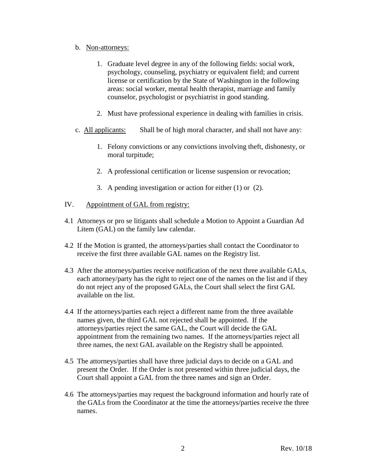## b. Non-attorneys:

- 1. Graduate level degree in any of the following fields: social work, psychology, counseling, psychiatry or equivalent field; and current license or certification by the State of Washington in the following areas: social worker, mental health therapist, marriage and family counselor, psychologist or psychiatrist in good standing.
- 2. Must have professional experience in dealing with families in crisis.
- c. All applicants: Shall be of high moral character, and shall not have any:
	- 1. Felony convictions or any convictions involving theft, dishonesty, or moral turpitude;
	- 2. A professional certification or license suspension or revocation;
	- 3. A pending investigation or action for either (1) or (2).
- IV. Appointment of GAL from registry:
- 4.1 Attorneys or pro se litigants shall schedule a Motion to Appoint a Guardian Ad Litem (GAL) on the family law calendar.
- 4.2 If the Motion is granted, the attorneys/parties shall contact the Coordinator to receive the first three available GAL names on the Registry list.
- 4.3 After the attorneys/parties receive notification of the next three available GALs, each attorney/party has the right to reject one of the names on the list and if they do not reject any of the proposed GALs, the Court shall select the first GAL available on the list.
- 4.4 If the attorneys/parties each reject a different name from the three available names given, the third GAL not rejected shall be appointed. If the attorneys/parties reject the same GAL, the Court will decide the GAL appointment from the remaining two names. If the attorneys/parties reject all three names, the next GAL available on the Registry shall be appointed.
- 4.5 The attorneys/parties shall have three judicial days to decide on a GAL and present the Order. If the Order is not presented within three judicial days, the Court shall appoint a GAL from the three names and sign an Order.
- 4.6 The attorneys/parties may request the background information and hourly rate of the GALs from the Coordinator at the time the attorneys/parties receive the three names.